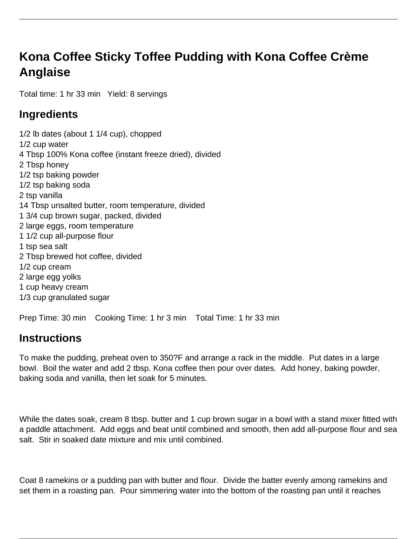## **Kona Coffee Sticky Toffee Pudding with Kona Coffee Crème Anglaise**

Total time: 1 hr 33 min Yield: 8 servings

## **Ingredients**

1/2 lb dates (about 1 1/4 cup), chopped 1/2 cup water 4 Tbsp 100% Kona coffee (instant freeze dried), divided 2 Tbsp honey 1/2 tsp baking powder 1/2 tsp baking soda 2 tsp vanilla 14 Tbsp unsalted butter, room temperature, divided 1 3/4 cup brown sugar, packed, divided 2 large eggs, room temperature 1 1/2 cup all-purpose flour 1 tsp sea salt 2 Tbsp brewed hot coffee, divided 1/2 cup cream 2 large egg yolks 1 cup heavy cream 1/3 cup granulated sugar

Prep Time: 30 min Cooking Time: 1 hr 3 min Total Time: 1 hr 33 min

## **Instructions**

To make the pudding, preheat oven to 350?F and arrange a rack in the middle. Put dates in a large bowl. Boil the water and add 2 tbsp. Kona coffee then pour over dates. Add honey, baking powder, baking soda and vanilla, then let soak for 5 minutes.

While the dates soak, cream 8 tbsp. butter and 1 cup brown sugar in a bowl with a stand mixer fitted with a paddle attachment. Add eggs and beat until combined and smooth, then add all-purpose flour and sea salt. Stir in soaked date mixture and mix until combined.

Coat 8 ramekins or a pudding pan with butter and flour. Divide the batter evenly among ramekins and set them in a roasting pan. Pour simmering water into the bottom of the roasting pan until it reaches